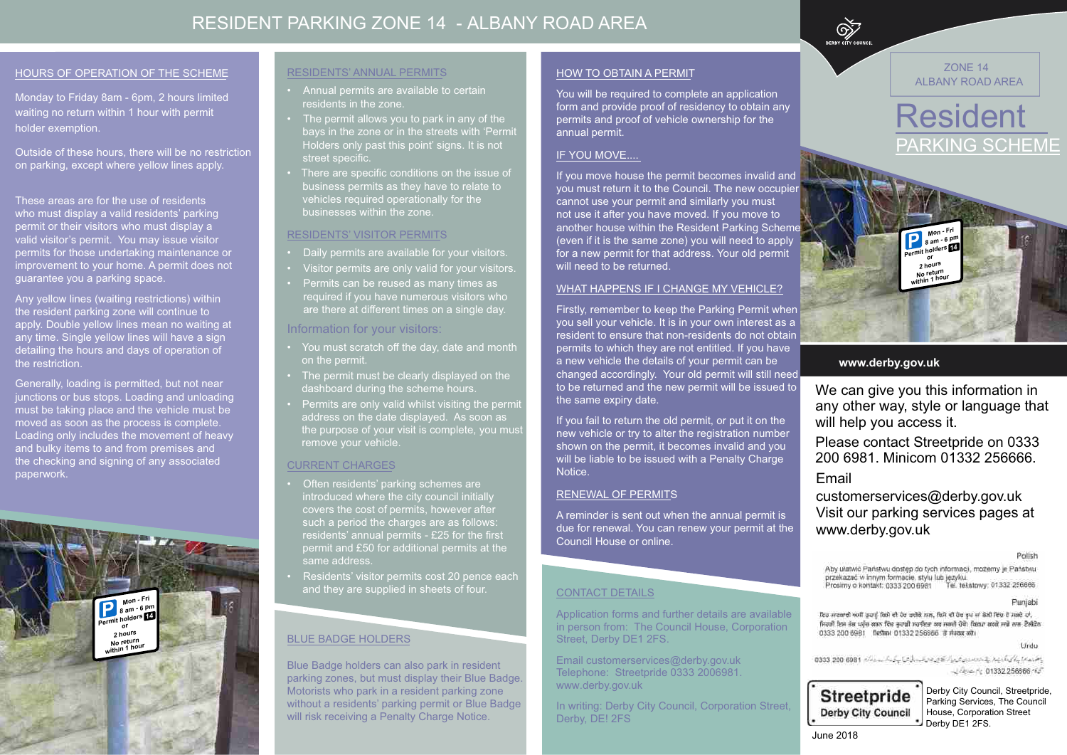### **www.derby.gov.uk**

We can give you this information in any other way, style or language that will help you access it.

Please contact Streetpride on 0333 200 6981. Minicom 01332 256666. Email

## customerservices@derby.gov.uk Visit our parking services pages at www.derby.gov.uk

Polish

Aby ułatwić Państwu dostęp do tych informacji, możemy je Państwu przekazać w innym formacie, stylu lub jezyku. Prosimy o kontakt: 0333 200 6981 Tel. tekstowy: 01332 256666

Punjabi

ਇਹ ਜਾਣਕਾਰੀ ਅਸੀਂ ਰਹਾਨੂੰ ਕਿਸੇ ਵੀ ਹੋਰ ਰਚੀਕੇ ਸਾਲ, ਕਿਸੇ ਵੀ ਹੋਰ ਰੂਪ ਜਾਂ ਡੇਲੀ ਵਿੱਚ ਦੋ ਸਕਦੇ ਹਾਂ, ਜਿਹੜੀ ਇਸ ਜ਼ੌਰ ਪਹੁੰਚ ਕਰਨ ਵਿੱਚ ਤੁਹਾਡੀ ਸਹਾਇਤਾ ਕਰ ਜਗਦੀ ਹੋਵੇ। ਬਿਰਪਾ ਕਰਕੇ ਸਾਡੇ ਨਾਲ ਟੈਲੀਫੋਨ 0333 200 6981 fielini 01332 256666 il riusa alti

1 Irdu





Monday to Friday 8am - 6pm, 2 hours limited waiting no return within 1 hour with permit holder exemption.

These areas are for the use of residents who must display a valid residents' parking permit or their visitors who must display a valid visitor's permit. You may issue visitor permits for those undertaking maintenance or improvement to your home. A permit does not guarantee you a parking space.

Outside of these hours, there will be no restriction on parking, except where yellow lines apply.

> Blue Badge holders can also park in resident parking zones, but must display their Blue Badge. Motorists who park in a resident parking zone without a residents' parking permit or Blue Badge will risk receiving a Penalty Charge Notice.

Any yellow lines (waiting restrictions) within the resident parking zone will continue to apply. Double yellow lines mean no waiting at any time. Single yellow lines will have a sign detailing the hours and days of operation of the restriction.

- Daily permits are available for your visitors.
- Visitor permits are only valid for your visitors.
- Permits can be reused as many times as required if you have numerous visitors who are there at different times on a single day.

Generally, loading is permitted, but not near junctions or bus stops. Loading and unloading must be taking place and the vehicle must be moved as soon as the process is complete. Loading only includes the movement of heavy and bulky items to and from premises and the checking and signing of any associated paperwork.

#### BLUE BADGE HOLDERS

You will be required to complete an application form and provide proof of residency to obtain any permits and proof of vehicle ownership for the annual permit.

#### IF YOU MOVE....

#### RESIDENTS' ANNUAL PERMITS

- Annual permits are available to certain residents in the zone.
- The permit allows you to park in any of the bays in the zone or in the streets with 'Permit Holders only past this point' signs. It is not street specific.
- There are specific conditions on the issue of business permits as they have to relate to vehicles required operationally for the businesses within the zone.

#### RESIDENTS' VISITOR PERMITS

In writing: Derby City Council, Corporation Street, Derby, DE! 2FS

#### Information for your visitors:

**Mon - Fri P** 8 am - 6 pm

- You must scratch off the day, date and month on the permit.
- The permit must be clearly displayed on the dashboard during the scheme hours.
- Permits are only valid whilst visiting the permit address on the date displayed. As soon as the purpose of your visit is complete, you must remove your vehicle.



#### CURRENT CHARGES

- Often residents' parking schemes are introduced where the city council initially covers the cost of permits, however after such a period the charges are as follows: residents' annual permits - £25 for the first permit and £50 for additional permits at the same address.
- Residents' visitor permits cost 20 pence each and they are supplied in sheets of four.

#### HOW TO OBTAIN A PERMIT

June 2018

If you move house the permit becomes invalid and you must return it to the Council. The new occupier cannot use your permit and similarly you must not use it after you have moved. If you move to another house within the Resident Parking Scheme (even if it is the same zone) you will need to apply for a new permit for that address. Your old permit will need to be returned.

#### WHAT HAPPENS IF I CHANGE MY VEHICLE?

Firstly, remember to keep the Parking Permit when you sell your vehicle. It is in your own interest as a resident to ensure that non-residents do not obtain permits to which they are not entitled. If you have a new vehicle the details of your permit can be changed accordingly. Your old permit will still need to be returned and the new permit will be issued to the same expiry date.

If you fail to return the old permit, or put it on the new vehicle or try to alter the registration number shown on the permit, it becomes invalid and you will be liable to be issued with a Penalty Charge Notice.

#### RENEWAL OF PERMITS

A reminder is sent out when the annual permit is due for renewal. You can renew your permit at the Council House or online.

#### CONTACT DETAILS

Application forms and further details are available in person from: The Council House, Corporation Street, Derby DE1 2FS.

Email customerservices@derby.gov.uk Telephone: Streetpride 0333 2006981. www.derby.gov.uk

Derby City Council, Streetpride, Parking Services, The Council House, Corporation Street Derby DE1 2FS.

**Permit holders or**

**2 hours No return within 1 hour**